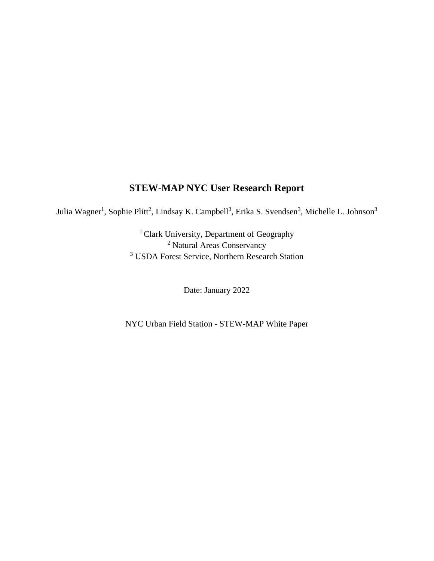# **STEW-MAP NYC User Research Report**

Julia Wagner<sup>1</sup>, Sophie Plitt<sup>2</sup>, Lindsay K. Campbell<sup>3</sup>, Erika S. Svendsen<sup>3</sup>, Michelle L. Johnson<sup>3</sup>

<sup>1</sup> Clark University, Department of Geography <sup>2</sup> Natural Areas Conservancy <sup>3</sup> USDA Forest Service, Northern Research Station

Date: January 2022

NYC Urban Field Station - STEW-MAP White Paper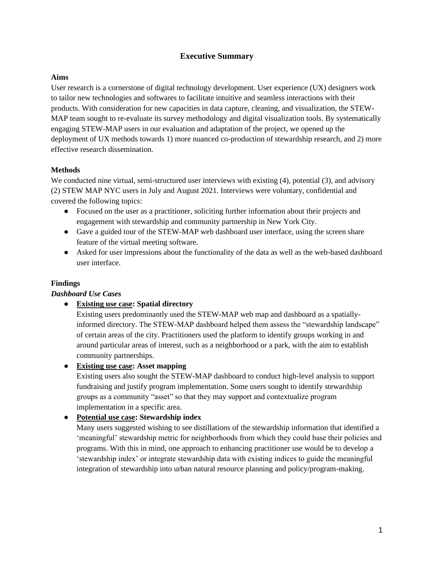### **Executive Summary**

#### **Aims**

User research is a cornerstone of digital technology development. User experience (UX) designers work to tailor new technologies and softwares to facilitate intuitive and seamless interactions with their products. With consideration for new capacities in data capture, cleaning, and visualization, the STEW-MAP team sought to re-evaluate its survey methodology and digital visualization tools. By systematically engaging STEW-MAP users in our evaluation and adaptation of the project, we opened up the deployment of UX methods towards 1) more nuanced co-production of stewardship research, and 2) more effective research dissemination.

### **Methods**

We conducted nine virtual, semi-structured user interviews with existing (4), potential (3), and advisory (2) STEW MAP NYC users in July and August 2021. Interviews were voluntary, confidential and covered the following topics:

- Focused on the user as a practitioner, soliciting further information about their projects and engagement with stewardship and community partnership in New York City.
- Gave a guided tour of the STEW-MAP web dashboard user interface, using the screen share feature of the virtual meeting software.
- Asked for user impressions about the functionality of the data as well as the web-based dashboard user interface.

#### **Findings**

#### *Dashboard Use Cases*

● **Existing use case: Spatial directory**

Existing users predominantly used the STEW-MAP web map and dashboard as a spatiallyinformed directory. The STEW-MAP dashboard helped them assess the "stewardship landscape" of certain areas of the city. Practitioners used the platform to identify groups working in and around particular areas of interest, such as a neighborhood or a park, with the aim to establish community partnerships.

### ● **Existing use case: Asset mapping**

Existing users also sought the STEW-MAP dashboard to conduct high-level analysis to support fundraising and justify program implementation. Some users sought to identify stewardship groups as a community "asset" so that they may support and contextualize program implementation in a specific area.

#### ● **Potential use case: Stewardship index**

Many users suggested wishing to see distillations of the stewardship information that identified a 'meaningful' stewardship metric for neighborhoods from which they could base their policies and programs. With this in mind, one approach to enhancing practitioner use would be to develop a 'stewardship index' or integrate stewardship data with existing indices to guide the meaningful integration of stewardship into urban natural resource planning and policy/program-making.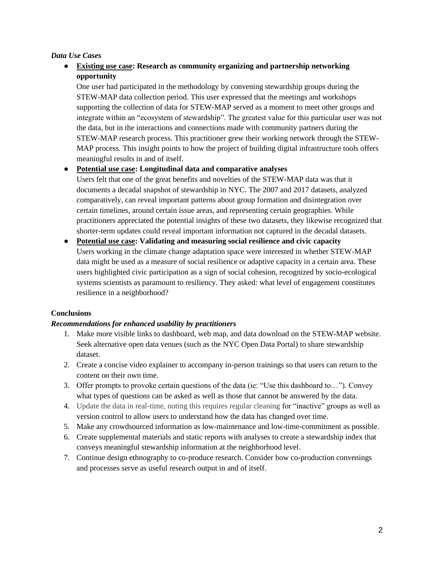#### *Data Use Cases*

## ● **Existing use case: Research as community organizing and partnership networking opportunity**

One user had participated in the methodology by convening stewardship groups during the STEW-MAP data collection period. This user expressed that the meetings and workshops supporting the collection of data for STEW-MAP served as a moment to meet other groups and integrate within an "ecosystem of stewardship". The greatest value for this particular user was not the data, but in the interactions and connections made with community partners during the STEW-MAP research process. This practitioner grew their working network through the STEW-MAP process. This insight points to how the project of building digital infrastructure tools offers meaningful results in and of itself.

#### ● **Potential use case: Longitudinal data and comparative analyses**

Users felt that one of the great benefits and novelties of the STEW-MAP data was that it documents a decadal snapshot of stewardship in NYC. The 2007 and 2017 datasets, analyzed comparatively, can reveal important patterns about group formation and disintegration over certain timelines, around certain issue areas, and representing certain geographies. While practitioners appreciated the potential insights of these two datasets, they likewise recognized that shorter-term updates could reveal important information not captured in the decadal datasets.

● **Potential use case: Validating and measuring social resilience and civic capacity** Users working in the climate change adaptation space were interested in whether STEW-MAP data might be used as a measure of social resilience or adaptive capacity in a certain area. These users highlighted civic participation as a sign of social cohesion, recognized by socio-ecological systems scientists as paramount to resiliency. They asked: what level of engagement constitutes resilience in a neighborhood?

### **Conclusions**

#### *Recommendations for enhanced usability by practitioners*

- 1. Make more visible links to dashboard, web map, and data download on the STEW-MAP website. Seek alternative open data venues (such as the NYC Open Data Portal) to share stewardship dataset.
- 2. Create a concise video explainer to accompany in-person trainings so that users can return to the content on their own time.
- 3. Offer prompts to provoke certain questions of the data (ie: "Use this dashboard to…"). Convey what types of questions can be asked as well as those that cannot be answered by the data.
- 4. Update the data in real-time, noting this requires regular cleaning for "inactive" groups as well as version control to allow users to understand how the data has changed over time.
- 5. Make any crowdsourced information as low-maintenance and low-time-commitment as possible.
- 6. Create supplemental materials and static reports with analyses to create a stewardship index that conveys meaningful stewardship information at the neighborhood level.
- 7. Continue design ethnography to co-produce research. Consider how co-production convenings and processes serve as useful research output in and of itself.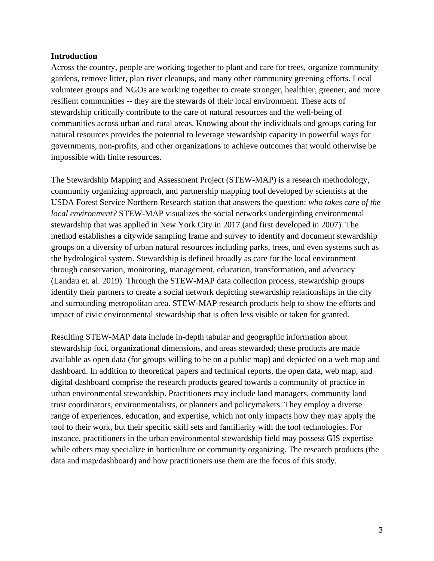#### **Introduction**

Across the country, people are working together to plant and care for trees, organize community gardens, remove litter, plan river cleanups, and many other community greening efforts. Local volunteer groups and NGOs are working together to create stronger, healthier, greener, and more resilient communities -- they are the stewards of their local environment. These acts of stewardship critically contribute to the care of natural resources and the well-being of communities across urban and rural areas. Knowing about the individuals and groups caring for natural resources provides the potential to leverage stewardship capacity in powerful ways for governments, non-profits, and other organizations to achieve outcomes that would otherwise be impossible with finite resources.

The Stewardship Mapping and Assessment Project (STEW-MAP) is a research methodology, community organizing approach, and partnership mapping tool developed by scientists at the USDA Forest Service Northern Research station that answers the question: *who takes care of the local environment?* STEW-MAP visualizes the social networks undergirding environmental stewardship that was applied in New York City in 2017 (and first developed in 2007). The method establishes a citywide sampling frame and survey to identify and document stewardship groups on a diversity of urban natural resources including parks, trees, and even systems such as the hydrological system. Stewardship is defined broadly as care for the local environment through conservation, monitoring, management, education, transformation, and advocacy (Landau et. al. 2019). Through the STEW-MAP data collection process, stewardship groups identify their partners to create a social network depicting stewardship relationships in the city and surrounding metropolitan area. STEW-MAP research products help to show the efforts and impact of civic environmental stewardship that is often less visible or taken for granted.

Resulting STEW-MAP data include in-depth tabular and geographic information about stewardship foci, organizational dimensions, and areas stewarded; these products are made available as open data (for groups willing to be on a public map) and depicted on a web map and dashboard. In addition to theoretical papers and technical reports, the open data, web map, and digital dashboard comprise the research products geared towards a community of practice in urban environmental stewardship. Practitioners may include land managers, community land trust coordinators, environmentalists, or planners and policymakers. They employ a diverse range of experiences, education, and expertise, which not only impacts how they may apply the tool to their work, but their specific skill sets and familiarity with the tool technologies. For instance, practitioners in the urban environmental stewardship field may possess GIS expertise while others may specialize in horticulture or community organizing. The research products (the data and map/dashboard) and how practitioners use them are the focus of this study.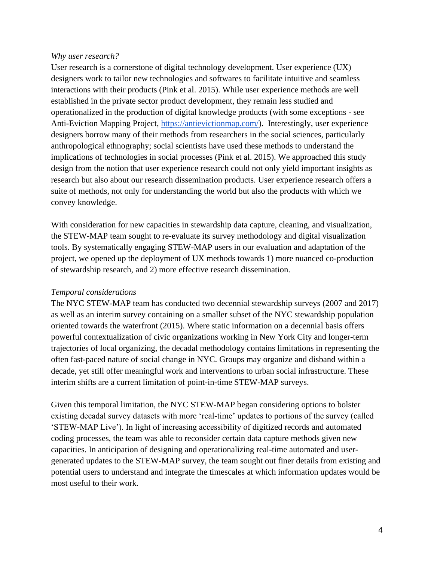#### *Why user research?*

User research is a cornerstone of digital technology development. User experience (UX) designers work to tailor new technologies and softwares to facilitate intuitive and seamless interactions with their products (Pink et al. 2015). While user experience methods are well established in the private sector product development, they remain less studied and operationalized in the production of digital knowledge products (with some exceptions - see Anti-Eviction Mapping Project, [https://antievictionmap.com/\)](https://antievictionmap.com/). Interestingly, user experience designers borrow many of their methods from researchers in the social sciences, particularly anthropological ethnography; social scientists have used these methods to understand the implications of technologies in social processes (Pink et al. 2015). We approached this study design from the notion that user experience research could not only yield important insights as research but also about our research dissemination products. User experience research offers a suite of methods, not only for understanding the world but also the products with which we convey knowledge.

With consideration for new capacities in stewardship data capture, cleaning, and visualization, the STEW-MAP team sought to re-evaluate its survey methodology and digital visualization tools. By systematically engaging STEW-MAP users in our evaluation and adaptation of the project, we opened up the deployment of UX methods towards 1) more nuanced co-production of stewardship research, and 2) more effective research dissemination.

### *Temporal considerations*

The NYC STEW-MAP team has conducted two decennial stewardship surveys (2007 and 2017) as well as an interim survey containing on a smaller subset of the NYC stewardship population oriented towards the waterfront (2015). Where static information on a decennial basis offers powerful contextualization of civic organizations working in New York City and longer-term trajectories of local organizing, the decadal methodology contains limitations in representing the often fast-paced nature of social change in NYC. Groups may organize and disband within a decade, yet still offer meaningful work and interventions to urban social infrastructure. These interim shifts are a current limitation of point-in-time STEW-MAP surveys.

Given this temporal limitation, the NYC STEW-MAP began considering options to bolster existing decadal survey datasets with more 'real-time' updates to portions of the survey (called 'STEW-MAP Live'). In light of increasing accessibility of digitized records and automated coding processes, the team was able to reconsider certain data capture methods given new capacities. In anticipation of designing and operationalizing real-time automated and usergenerated updates to the STEW-MAP survey, the team sought out finer details from existing and potential users to understand and integrate the timescales at which information updates would be most useful to their work.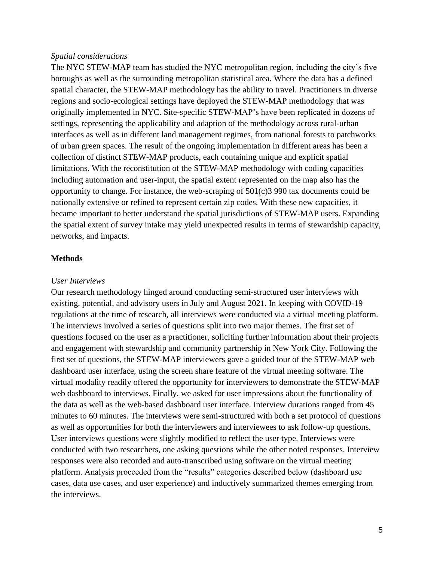#### *Spatial considerations*

The NYC STEW-MAP team has studied the NYC metropolitan region, including the city's five boroughs as well as the surrounding metropolitan statistical area. Where the data has a defined spatial character, the STEW-MAP methodology has the ability to travel. Practitioners in diverse regions and socio-ecological settings have deployed the STEW-MAP methodology that was originally implemented in NYC. Site-specific STEW-MAP's have been replicated in dozens of settings, representing the applicability and adaption of the methodology across rural-urban interfaces as well as in different land management regimes, from national forests to patchworks of urban green spaces. The result of the ongoing implementation in different areas has been a collection of distinct STEW-MAP products, each containing unique and explicit spatial limitations. With the reconstitution of the STEW-MAP methodology with coding capacities including automation and user-input, the spatial extent represented on the map also has the opportunity to change. For instance, the web-scraping of  $501(c)3990$  tax documents could be nationally extensive or refined to represent certain zip codes. With these new capacities, it became important to better understand the spatial jurisdictions of STEW-MAP users. Expanding the spatial extent of survey intake may yield unexpected results in terms of stewardship capacity, networks, and impacts.

#### **Methods**

#### *User Interviews*

Our research methodology hinged around conducting semi-structured user interviews with existing, potential, and advisory users in July and August 2021. In keeping with COVID-19 regulations at the time of research, all interviews were conducted via a virtual meeting platform. The interviews involved a series of questions split into two major themes. The first set of questions focused on the user as a practitioner, soliciting further information about their projects and engagement with stewardship and community partnership in New York City. Following the first set of questions, the STEW-MAP interviewers gave a guided tour of the STEW-MAP web dashboard user interface, using the screen share feature of the virtual meeting software. The virtual modality readily offered the opportunity for interviewers to demonstrate the STEW-MAP web dashboard to interviews. Finally, we asked for user impressions about the functionality of the data as well as the web-based dashboard user interface. Interview durations ranged from 45 minutes to 60 minutes. The interviews were semi-structured with both a set protocol of questions as well as opportunities for both the interviewers and interviewees to ask follow-up questions. User interviews questions were slightly modified to reflect the user type. Interviews were conducted with two researchers, one asking questions while the other noted responses. Interview responses were also recorded and auto-transcribed using software on the virtual meeting platform. Analysis proceeded from the "results" categories described below (dashboard use cases, data use cases, and user experience) and inductively summarized themes emerging from the interviews.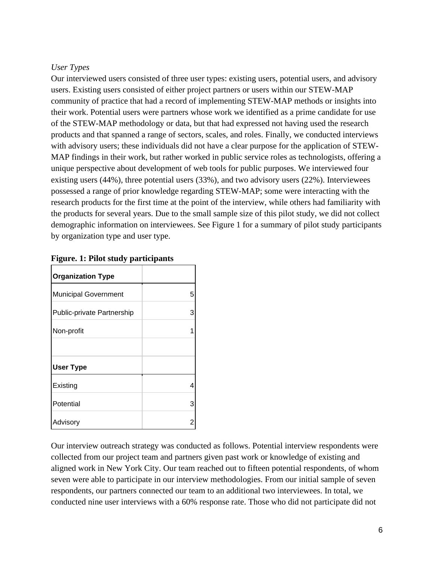## *User Types*

Our interviewed users consisted of three user types: existing users, potential users, and advisory users. Existing users consisted of either project partners or users within our STEW-MAP community of practice that had a record of implementing STEW-MAP methods or insights into their work. Potential users were partners whose work we identified as a prime candidate for use of the STEW-MAP methodology or data, but that had expressed not having used the research products and that spanned a range of sectors, scales, and roles. Finally, we conducted interviews with advisory users; these individuals did not have a clear purpose for the application of STEW-MAP findings in their work, but rather worked in public service roles as technologists, offering a unique perspective about development of web tools for public purposes. We interviewed four existing users (44%), three potential users (33%), and two advisory users (22%). Interviewees possessed a range of prior knowledge regarding STEW-MAP; some were interacting with the research products for the first time at the point of the interview, while others had familiarity with the products for several years. Due to the small sample size of this pilot study, we did not collect demographic information on interviewees. See Figure 1 for a summary of pilot study participants by organization type and user type.

| <b>Organization Type</b>    |   |
|-----------------------------|---|
| <b>Municipal Government</b> | 5 |
| Public-private Partnership  | 3 |
| Non-profit                  | 1 |
|                             |   |
| <b>User Type</b>            |   |
| Existing                    | 4 |
| Potential                   | 3 |
| Advisory                    | 2 |

**Figure. 1: Pilot study participants**

Our interview outreach strategy was conducted as follows. Potential interview respondents were collected from our project team and partners given past work or knowledge of existing and aligned work in New York City. Our team reached out to fifteen potential respondents, of whom seven were able to participate in our interview methodologies. From our initial sample of seven respondents, our partners connected our team to an additional two interviewees. In total, we conducted nine user interviews with a 60% response rate. Those who did not participate did not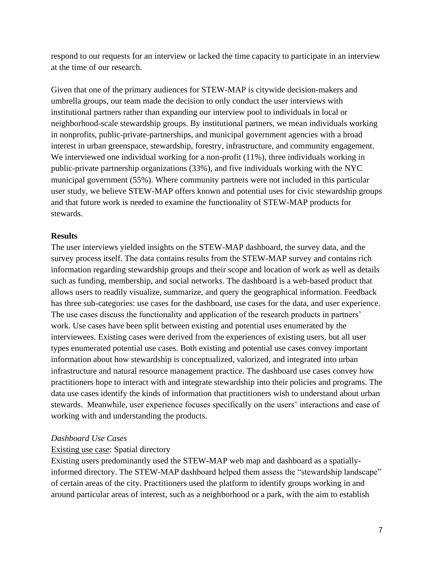respond to our requests for an interview or lacked the time capacity to participate in an interview at the time of our research.

Given that one of the primary audiences for STEW-MAP is citywide decision-makers and umbrella groups, our team made the decision to only conduct the user interviews with institutional partners rather than expanding our interview pool to individuals in local or neighborhood-scale stewardship groups. By institutional partners, we mean individuals working in nonprofits, public-private-partnerships, and municipal government agencies with a broad interest in urban greenspace, stewardship, forestry, infrastructure, and community engagement. We interviewed one individual working for a non-profit (11%), three individuals working in public-private partnership organizations (33%), and five individuals working with the NYC municipal government (55%). Where community partners were not included in this particular user study, we believe STEW-MAP offers known and potential uses for civic stewardship groups and that future work is needed to examine the functionality of STEW-MAP products for stewards.

### **Results**

The user interviews yielded insights on the STEW-MAP dashboard, the survey data, and the survey process itself. The data contains results from the STEW-MAP survey and contains rich information regarding stewardship groups and their scope and location of work as well as details such as funding, membership, and social networks. The dashboard is a web-based product that allows users to readily visualize, summarize, and query the geographical information. Feedback has three sub-categories: use cases for the dashboard, use cases for the data, and user experience. The use cases discuss the functionality and application of the research products in partners' work. Use cases have been split between existing and potential uses enumerated by the interviewees. Existing cases were derived from the experiences of existing users, but all user types enumerated potential use cases. Both existing and potential use cases convey important information about how stewardship is conceptualized, valorized, and integrated into urban infrastructure and natural resource management practice. The dashboard use cases convey how practitioners hope to interact with and integrate stewardship into their policies and programs. The data use cases identify the kinds of information that practitioners wish to understand about urban stewards. Meanwhile, user experience focuses specifically on the users' interactions and ease of working with and understanding the products.

## *Dashboard Use Cases*

## Existing use case: Spatial directory

Existing users predominantly used the STEW-MAP web map and dashboard as a spatiallyinformed directory. The STEW-MAP dashboard helped them assess the "stewardship landscape" of certain areas of the city. Practitioners used the platform to identify groups working in and around particular areas of interest, such as a neighborhood or a park, with the aim to establish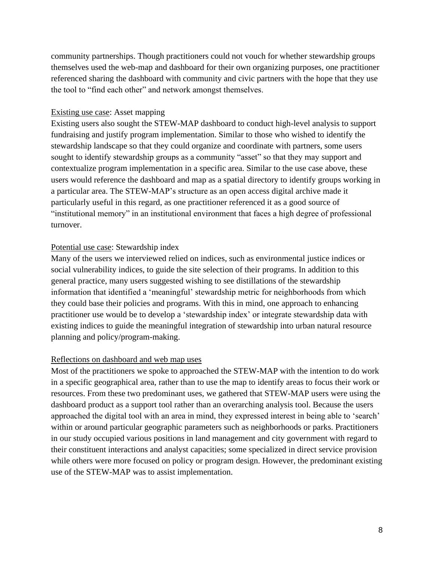community partnerships. Though practitioners could not vouch for whether stewardship groups themselves used the web-map and dashboard for their own organizing purposes, one practitioner referenced sharing the dashboard with community and civic partners with the hope that they use the tool to "find each other" and network amongst themselves.

### Existing use case: Asset mapping

Existing users also sought the STEW-MAP dashboard to conduct high-level analysis to support fundraising and justify program implementation. Similar to those who wished to identify the stewardship landscape so that they could organize and coordinate with partners, some users sought to identify stewardship groups as a community "asset" so that they may support and contextualize program implementation in a specific area. Similar to the use case above, these users would reference the dashboard and map as a spatial directory to identify groups working in a particular area. The STEW-MAP's structure as an open access digital archive made it particularly useful in this regard, as one practitioner referenced it as a good source of "institutional memory" in an institutional environment that faces a high degree of professional turnover.

## Potential use case: Stewardship index

Many of the users we interviewed relied on indices, such as environmental justice indices or social vulnerability indices, to guide the site selection of their programs. In addition to this general practice, many users suggested wishing to see distillations of the stewardship information that identified a 'meaningful' stewardship metric for neighborhoods from which they could base their policies and programs. With this in mind, one approach to enhancing practitioner use would be to develop a 'stewardship index' or integrate stewardship data with existing indices to guide the meaningful integration of stewardship into urban natural resource planning and policy/program-making.

## Reflections on dashboard and web map uses

Most of the practitioners we spoke to approached the STEW-MAP with the intention to do work in a specific geographical area, rather than to use the map to identify areas to focus their work or resources. From these two predominant uses, we gathered that STEW-MAP users were using the dashboard product as a support tool rather than an overarching analysis tool. Because the users approached the digital tool with an area in mind, they expressed interest in being able to 'search' within or around particular geographic parameters such as neighborhoods or parks. Practitioners in our study occupied various positions in land management and city government with regard to their constituent interactions and analyst capacities; some specialized in direct service provision while others were more focused on policy or program design. However, the predominant existing use of the STEW-MAP was to assist implementation.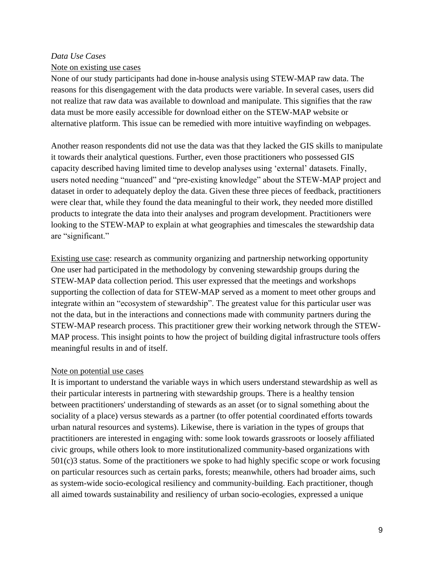### *Data Use Cases*

### Note on existing use cases

None of our study participants had done in-house analysis using STEW-MAP raw data. The reasons for this disengagement with the data products were variable. In several cases, users did not realize that raw data was available to download and manipulate. This signifies that the raw data must be more easily accessible for download either on the STEW-MAP website or alternative platform. This issue can be remedied with more intuitive wayfinding on webpages.

Another reason respondents did not use the data was that they lacked the GIS skills to manipulate it towards their analytical questions. Further, even those practitioners who possessed GIS capacity described having limited time to develop analyses using 'external' datasets. Finally, users noted needing "nuanced" and "pre-existing knowledge" about the STEW-MAP project and dataset in order to adequately deploy the data. Given these three pieces of feedback, practitioners were clear that, while they found the data meaningful to their work, they needed more distilled products to integrate the data into their analyses and program development. Practitioners were looking to the STEW-MAP to explain at what geographies and timescales the stewardship data are "significant."

Existing use case: research as community organizing and partnership networking opportunity One user had participated in the methodology by convening stewardship groups during the STEW-MAP data collection period. This user expressed that the meetings and workshops supporting the collection of data for STEW-MAP served as a moment to meet other groups and integrate within an "ecosystem of stewardship". The greatest value for this particular user was not the data, but in the interactions and connections made with community partners during the STEW-MAP research process. This practitioner grew their working network through the STEW-MAP process. This insight points to how the project of building digital infrastructure tools offers meaningful results in and of itself.

## Note on potential use cases

It is important to understand the variable ways in which users understand stewardship as well as their particular interests in partnering with stewardship groups. There is a healthy tension between practitioners' understanding of stewards as an asset (or to signal something about the sociality of a place) versus stewards as a partner (to offer potential coordinated efforts towards urban natural resources and systems). Likewise, there is variation in the types of groups that practitioners are interested in engaging with: some look towards grassroots or loosely affiliated civic groups, while others look to more institutionalized community-based organizations with 501(c)3 status. Some of the practitioners we spoke to had highly specific scope or work focusing on particular resources such as certain parks, forests; meanwhile, others had broader aims, such as system-wide socio-ecological resiliency and community-building. Each practitioner, though all aimed towards sustainability and resiliency of urban socio-ecologies, expressed a unique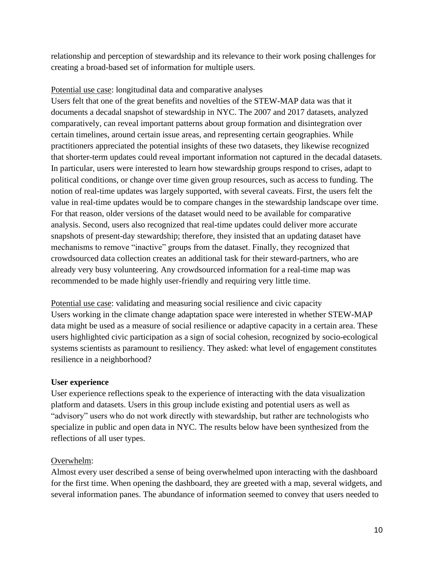relationship and perception of stewardship and its relevance to their work posing challenges for creating a broad-based set of information for multiple users.

## Potential use case: longitudinal data and comparative analyses

Users felt that one of the great benefits and novelties of the STEW-MAP data was that it documents a decadal snapshot of stewardship in NYC. The 2007 and 2017 datasets, analyzed comparatively, can reveal important patterns about group formation and disintegration over certain timelines, around certain issue areas, and representing certain geographies. While practitioners appreciated the potential insights of these two datasets, they likewise recognized that shorter-term updates could reveal important information not captured in the decadal datasets. In particular, users were interested to learn how stewardship groups respond to crises, adapt to political conditions, or change over time given group resources, such as access to funding. The notion of real-time updates was largely supported, with several caveats. First, the users felt the value in real-time updates would be to compare changes in the stewardship landscape over time. For that reason, older versions of the dataset would need to be available for comparative analysis. Second, users also recognized that real-time updates could deliver more accurate snapshots of present-day stewardship; therefore, they insisted that an updating dataset have mechanisms to remove "inactive" groups from the dataset. Finally, they recognized that crowdsourced data collection creates an additional task for their steward-partners, who are already very busy volunteering. Any crowdsourced information for a real-time map was recommended to be made highly user-friendly and requiring very little time.

Potential use case: validating and measuring social resilience and civic capacity Users working in the climate change adaptation space were interested in whether STEW-MAP data might be used as a measure of social resilience or adaptive capacity in a certain area. These users highlighted civic participation as a sign of social cohesion, recognized by socio-ecological systems scientists as paramount to resiliency. They asked: what level of engagement constitutes resilience in a neighborhood?

## **User experience**

User experience reflections speak to the experience of interacting with the data visualization platform and datasets. Users in this group include existing and potential users as well as "advisory" users who do not work directly with stewardship, but rather are technologists who specialize in public and open data in NYC. The results below have been synthesized from the reflections of all user types.

## Overwhelm:

Almost every user described a sense of being overwhelmed upon interacting with the dashboard for the first time. When opening the dashboard, they are greeted with a map, several widgets, and several information panes. The abundance of information seemed to convey that users needed to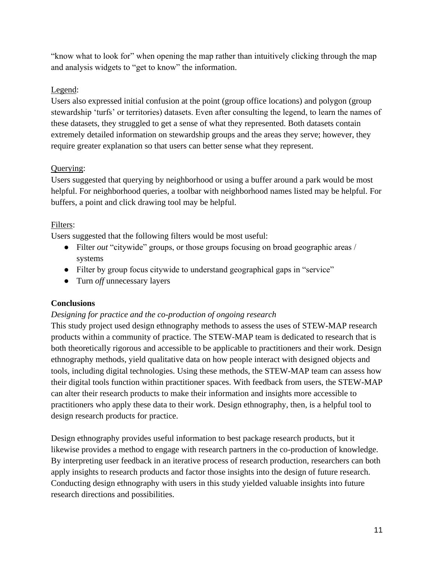"know what to look for" when opening the map rather than intuitively clicking through the map and analysis widgets to "get to know" the information.

## Legend:

Users also expressed initial confusion at the point (group office locations) and polygon (group stewardship 'turfs' or territories) datasets. Even after consulting the legend, to learn the names of these datasets, they struggled to get a sense of what they represented. Both datasets contain extremely detailed information on stewardship groups and the areas they serve; however, they require greater explanation so that users can better sense what they represent.

## Querying:

Users suggested that querying by neighborhood or using a buffer around a park would be most helpful. For neighborhood queries, a toolbar with neighborhood names listed may be helpful. For buffers, a point and click drawing tool may be helpful.

## Filters:

Users suggested that the following filters would be most useful:

- Filter *out* "citywide" groups, or those groups focusing on broad geographic areas / systems
- Filter by group focus citywide to understand geographical gaps in "service"
- Turn *off* unnecessary layers

## **Conclusions**

## *Designing for practice and the co-production of ongoing research*

This study project used design ethnography methods to assess the uses of STEW-MAP research products within a community of practice. The STEW-MAP team is dedicated to research that is both theoretically rigorous and accessible to be applicable to practitioners and their work. Design ethnography methods, yield qualitative data on how people interact with designed objects and tools, including digital technologies. Using these methods, the STEW-MAP team can assess how their digital tools function within practitioner spaces. With feedback from users, the STEW-MAP can alter their research products to make their information and insights more accessible to practitioners who apply these data to their work. Design ethnography, then, is a helpful tool to design research products for practice.

Design ethnography provides useful information to best package research products, but it likewise provides a method to engage with research partners in the co-production of knowledge. By interpreting user feedback in an iterative process of research production, researchers can both apply insights to research products and factor those insights into the design of future research. Conducting design ethnography with users in this study yielded valuable insights into future research directions and possibilities.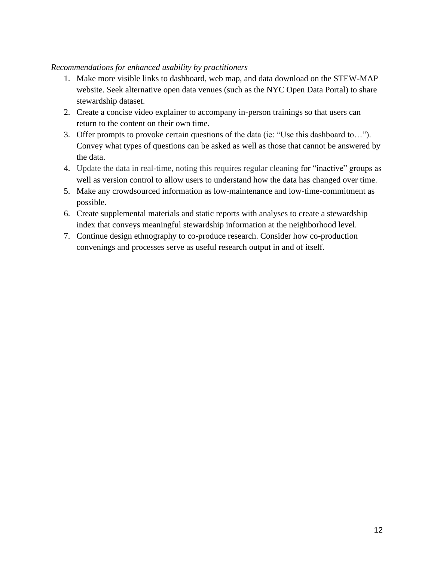### *Recommendations for enhanced usability by practitioners*

- 1. Make more visible links to dashboard, web map, and data download on the STEW-MAP website. Seek alternative open data venues (such as the NYC Open Data Portal) to share stewardship dataset.
- 2. Create a concise video explainer to accompany in-person trainings so that users can return to the content on their own time.
- 3. Offer prompts to provoke certain questions of the data (ie: "Use this dashboard to…"). Convey what types of questions can be asked as well as those that cannot be answered by the data.
- 4. Update the data in real-time, noting this requires regular cleaning for "inactive" groups as well as version control to allow users to understand how the data has changed over time.
- 5. Make any crowdsourced information as low-maintenance and low-time-commitment as possible.
- 6. Create supplemental materials and static reports with analyses to create a stewardship index that conveys meaningful stewardship information at the neighborhood level.
- 7. Continue design ethnography to co-produce research. Consider how co-production convenings and processes serve as useful research output in and of itself.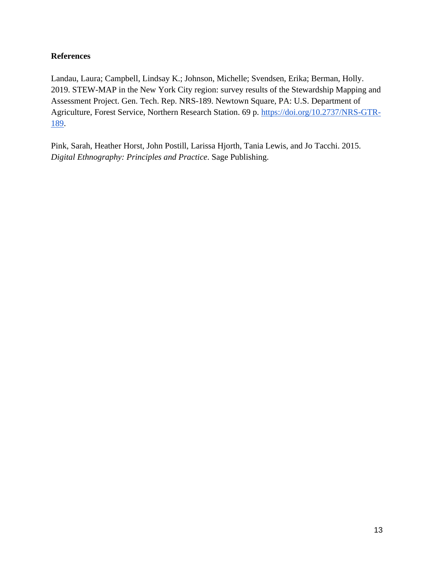## **References**

Landau, Laura; Campbell, Lindsay K.; Johnson, Michelle; Svendsen, Erika; Berman, Holly. 2019. STEW-MAP in the New York City region: survey results of the Stewardship Mapping and Assessment Project. Gen. Tech. Rep. NRS-189. Newtown Square, PA: U.S. Department of Agriculture, Forest Service, Northern Research Station. 69 p. [https://doi.org/10.2737/NRS-GTR-](https://doi.org/10.2737/NRS-GTR-189)[189.](https://doi.org/10.2737/NRS-GTR-189)

Pink, Sarah, Heather Horst, John Postill, Larissa Hjorth, Tania Lewis, and Jo Tacchi. 2015. *Digital Ethnography: Principles and Practice*. Sage Publishing.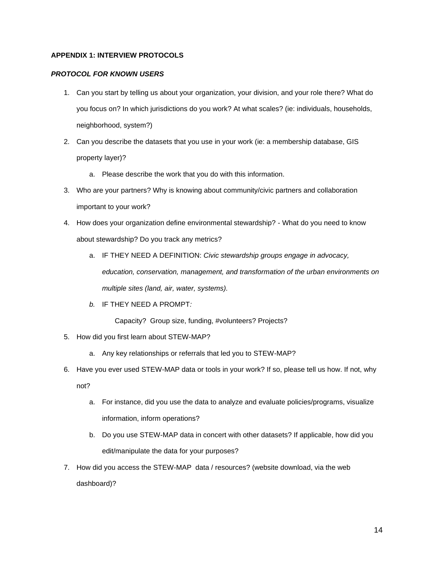#### **APPENDIX 1: INTERVIEW PROTOCOLS**

#### *PROTOCOL FOR KNOWN USERS*

- 1. Can you start by telling us about your organization, your division, and your role there? What do you focus on? In which jurisdictions do you work? At what scales? (ie: individuals, households, neighborhood, system?)
- 2. Can you describe the datasets that you use in your work (ie: a membership database, GIS property layer)?
	- a. Please describe the work that you do with this information.
- 3. Who are your partners? Why is knowing about community/civic partners and collaboration important to your work?
- 4. How does your organization define environmental stewardship? What do you need to know about stewardship? Do you track any metrics?
	- a. IF THEY NEED A DEFINITION: *Civic stewardship groups engage in advocacy, education, conservation, management, and transformation of the urban environments on multiple sites (land, air, water, systems).*
	- *b.* IF THEY NEED A PROMPT*:*

Capacity? Group size, funding, #volunteers? Projects?

- 5. How did you first learn about STEW-MAP?
	- a. Any key relationships or referrals that led you to STEW-MAP?
- 6. Have you ever used STEW-MAP data or tools in your work? If so, please tell us how. If not, why not?
	- a. For instance, did you use the data to analyze and evaluate policies/programs, visualize information, inform operations?
	- b. Do you use STEW-MAP data in concert with other datasets? If applicable, how did you edit/manipulate the data for your purposes?
- 7. How did you access the STEW-MAP data / resources? (website download, via the web dashboard)?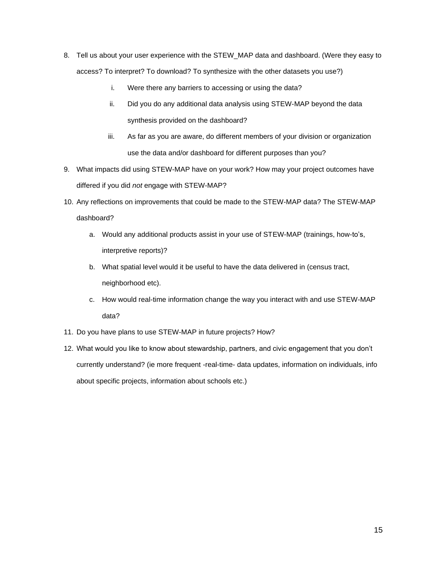- 8. Tell us about your user experience with the STEW\_MAP data and dashboard. (Were they easy to access? To interpret? To download? To synthesize with the other datasets you use?)
	- i. Were there any barriers to accessing or using the data?
	- ii. Did you do any additional data analysis using STEW-MAP beyond the data synthesis provided on the dashboard?
	- iii. As far as you are aware, do different members of your division or organization use the data and/or dashboard for different purposes than you?
- 9. What impacts did using STEW-MAP have on your work? How may your project outcomes have differed if you did *not* engage with STEW-MAP?
- 10. Any reflections on improvements that could be made to the STEW-MAP data? The STEW-MAP dashboard?
	- a. Would any additional products assist in your use of STEW-MAP (trainings, how-to's, interpretive reports)?
	- b. What spatial level would it be useful to have the data delivered in (census tract, neighborhood etc).
	- c. How would real-time information change the way you interact with and use STEW-MAP data?
- 11. Do you have plans to use STEW-MAP in future projects? How?
- 12. What would you like to know about stewardship, partners, and civic engagement that you don't currently understand? (ie more frequent -real-time- data updates, information on individuals, info about specific projects, information about schools etc.)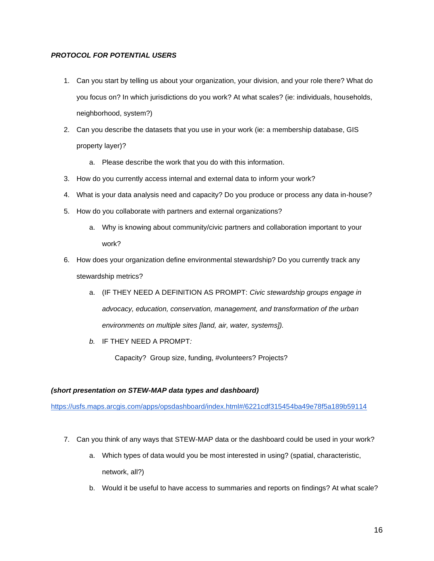#### *PROTOCOL FOR POTENTIAL USERS*

- 1. Can you start by telling us about your organization, your division, and your role there? What do you focus on? In which jurisdictions do you work? At what scales? (ie: individuals, households, neighborhood, system?)
- 2. Can you describe the datasets that you use in your work (ie: a membership database, GIS property layer)?
	- a. Please describe the work that you do with this information.
- 3. How do you currently access internal and external data to inform your work?
- 4. What is your data analysis need and capacity? Do you produce or process any data in-house?
- 5. How do you collaborate with partners and external organizations?
	- a. Why is knowing about community/civic partners and collaboration important to your work?
- 6. How does your organization define environmental stewardship? Do you currently track any stewardship metrics?
	- a. (IF THEY NEED A DEFINITION AS PROMPT: *Civic stewardship groups engage in advocacy, education, conservation, management, and transformation of the urban environments on multiple sites [land, air, water, systems]).*
	- *b.* IF THEY NEED A PROMPT*:*

Capacity? Group size, funding, #volunteers? Projects?

#### *(short presentation on STEW-MAP data types and dashboard)*

<https://usfs.maps.arcgis.com/apps/opsdashboard/index.html#/6221cdf315454ba49e78f5a189b59114>

- 7. Can you think of any ways that STEW-MAP data or the dashboard could be used in your work?
	- a. Which types of data would you be most interested in using? (spatial, characteristic, network, all?)
	- b. Would it be useful to have access to summaries and reports on findings? At what scale?